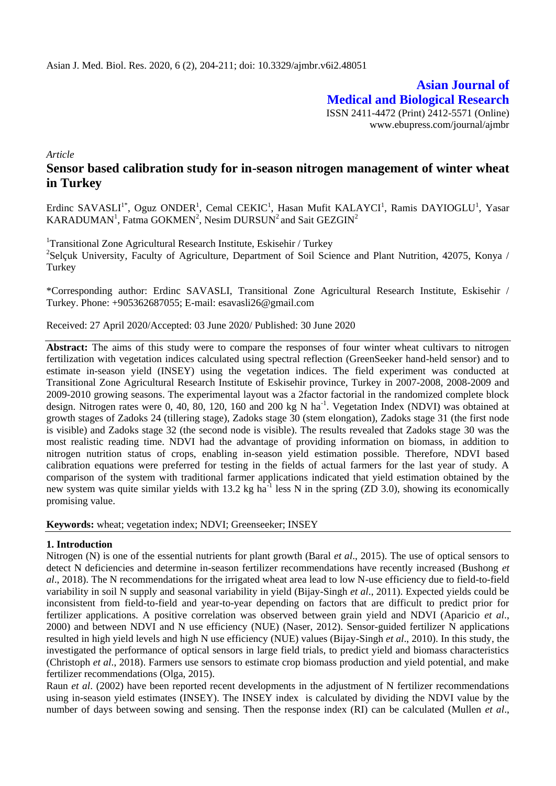**Asian Journal of Medical and Biological Research** ISSN 2411-4472 (Print) 2412-5571 (Online) www.ebupress.com/journal/ajmbr

*Article*

# **Sensor based calibration study for in-season nitrogen management of winter wheat in Turkey**

Erdinc SAVASLI<sup>1\*</sup>, Oguz ONDER<sup>1</sup>, Cemal CEKIC<sup>1</sup>, Hasan Mufit KALAYCI<sup>1</sup>, Ramis DAYIOGLU<sup>1</sup>, Yasar KARADUMAN<sup>1</sup>, Fatma GOKMEN<sup>2</sup>, Nesim DURSUN<sup>2</sup> and Sait GEZGIN<sup>2</sup>

<sup>1</sup>Transitional Zone Agricultural Research Institute, Eskisehir / Turkey <sup>2</sup>Selçuk University, Faculty of Agriculture, Department of Soil Science and Plant Nutrition, 42075, Konya / **Turkey** 

\*Corresponding author: Erdinc SAVASLI, Transitional Zone Agricultural Research Institute, Eskisehir / Turkey. Phone: +905362687055; E-mail: esavasli2[6@gmail.com](mailto:erdinc.savasli@tarim.gov.tr)

Received: 27 April 2020/Accepted: 03 June 2020/ Published: 30 June 2020

Abstract: The aims of this study were to compare the responses of four winter wheat cultivars to nitrogen fertilization with vegetation indices calculated using spectral reflection (GreenSeeker hand-held sensor) and to estimate in-season yield (INSEY) using the vegetation indices. The field experiment was conducted at Transitional Zone Agricultural Research Institute of Eskisehir province, Turkey in 2007-2008, 2008-2009 and 2009-2010 growing seasons. The experimental layout was a 2factor factorial in the randomized complete block design. Nitrogen rates were 0, 40, 80, 120, 160 and 200 kg N ha<sup>-1</sup>. Vegetation Index (NDVI) was obtained at growth stages of Zadoks 24 (tillering stage), Zadoks stage 30 (stem elongation), Zadoks stage 31 (the first node is visible) and Zadoks stage 32 (the second node is visible). The results revealed that Zadoks stage 30 was the most realistic reading time. NDVI had the advantage of providing information on biomass, in addition to nitrogen nutrition status of crops, enabling in-season yield estimation possible. Therefore, NDVI based calibration equations were preferred for testing in the fields of actual farmers for the last year of study. A comparison of the system with traditional farmer applications indicated that yield estimation obtained by the new system was quite similar yields with 13.2 kg ha<sup>-1</sup> less N in the spring (ZD 3.0), showing its economically promising value.

**Keywords:** wheat; vegetation index; NDVI; Greenseeker; INSEY

## **1. Introduction**

Nitrogen (N) is one of the essential nutrients for plant growth (Baral *et al*., 2015). The use of optical sensors to detect N deficiencies and determine in-season fertilizer recommendations have recently increased (Bushong *et al*., 2018). The N recommendations for the irrigated wheat area lead to low N-use efficiency due to field-to-field variability in soil N supply and seasonal variability in yield (Bijay-Singh *et al*., 2011). Expected yields could be inconsistent from field-to-field and year-to-year depending on factors that are difficult to predict prior for fertilizer applications. A positive correlation was observed between grain yield and NDVI (Aparicio *et al*., 2000) and between NDVI and N use efficiency (NUE) (Naser, 2012). Sensor-guided fertilizer N applications resulted in high yield levels and high N use efficiency (NUE) values (Bijay-Singh *et al*., 2010). In this study, the investigated the performance of optical sensors in large field trials, to predict yield and biomass characteristics (Christoph *et al*., 2018). Farmers use sensors to estimate crop biomass production and yield potential, and make fertilizer recommendations (Olga, 2015).

Raun *et al*. (2002) have been reported recent developments in the adjustment of N fertilizer recommendations using in-season yield estimates (INSEY). The INSEY index is calculated by dividing the NDVI value by the number of days between sowing and sensing. Then the response index (RI) can be calculated (Mullen *et al*.,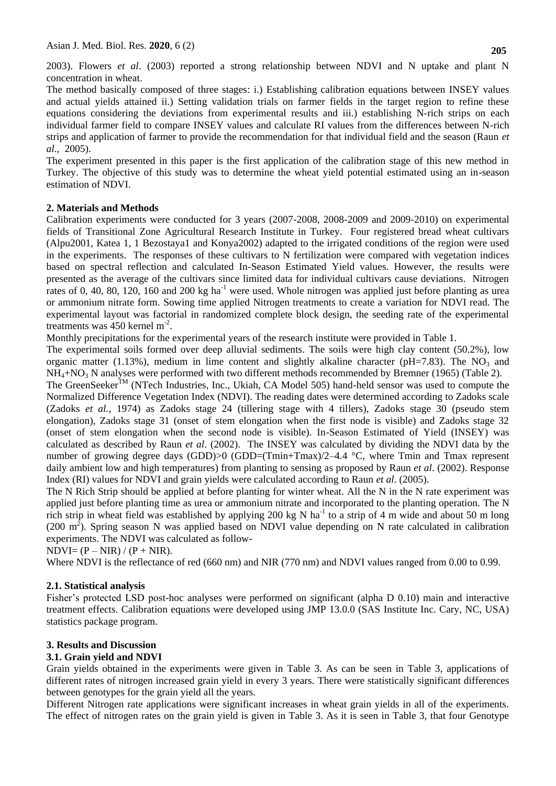2003). Flowers *et al*. (2003) reported a strong relationship between NDVI and N uptake and plant N concentration in wheat.

The method basically composed of three stages: i.) Establishing calibration equations between INSEY values and actual yields attained ii.) Setting validation trials on farmer fields in the target region to refine these equations considering the deviations from experimental results and iii.) establishing N-rich strips on each individual farmer field to compare INSEY values and calculate RI values from the differences between N-rich strips and application of farmer to provide the recommendation for that individual field and the season (Raun *et al.*, 2005).

The experiment presented in this paper is the first application of the calibration stage of this new method in Turkey. The objective of this study was to determine the wheat yield potential estimated using an in-season estimation of NDVI.

## **2. Materials and Methods**

Calibration experiments were conducted for 3 years (2007-2008, 2008-2009 and 2009-2010) on experimental fields of Transitional Zone Agricultural Research Institute in Turkey. Four registered bread wheat cultivars (Alpu2001, Katea 1, 1 Bezostaya1 and Konya2002) adapted to the irrigated conditions of the region were used in the experiments. The responses of these cultivars to N fertilization were compared with vegetation indices based on spectral reflection and calculated In-Season Estimated Yield values. However, the results were presented as the average of the cultivars since limited data for individual cultivars cause deviations. Nitrogen rates of 0, 40, 80, 120, 160 and 200 kg ha<sup>-1</sup> were used. Whole nitrogen was applied just before planting as urea or ammonium nitrate form. Sowing time applied Nitrogen treatments to create a variation for NDVI read. The experimental layout was factorial in randomized complete block design, the seeding rate of the experimental treatments was  $450$  kernel m<sup>-2</sup>.

Monthly precipitations for the experimental years of the research institute were provided in Table 1.

The experimental soils formed over deep alluvial sediments. The soils were high clay content (50.2%), low organic matter (1.13%), medium in lime content and slightly alkaline character (pH=7.83). The NO<sub>3</sub> and NH<sub>4</sub>+NO<sub>3</sub> N analyses were performed with two different methods recommended by Bremner (1965) (Table 2).

The GreenSeeker<sup>TM</sup> (NTech Industries, Inc., Ukiah, CA Model 505) hand-held sensor was used to compute the Normalized Difference Vegetation Index (NDVI). The reading dates were determined according to Zadoks scale (Zadoks *et al.,* 1974) as Zadoks stage 24 (tillering stage with 4 tillers), Zadoks stage 30 (pseudo stem elongation), Zadoks stage 31 (onset of stem elongation when the first node is visible) and Zadoks stage 32 (onset of stem elongation when the second node is visible). In-Season Estimated of Yield (INSEY) was calculated as described by Raun *et al*. (2002). The INSEY was calculated by dividing the NDVI data by the number of growing degree days (GDD) $>0$  (GDD=(Tmin+Tmax)/2–4.4 °C, where Tmin and Tmax represent daily ambient low and high temperatures) from planting to sensing as proposed by Raun *et al*. (2002). Response Index (RI) values for NDVI and grain yields were calculated according to Raun *et al*. (2005).

The N Rich Strip should be applied at before planting for winter wheat. All the N in the N rate experiment was applied just before planting time as urea or ammonium nitrate and incorporated to the planting operation. The N rich strip in wheat field was established by applying 200 kg N ha<sup>-1</sup> to a strip of 4 m wide and about 50 m long  $(200 \text{ m}^2)$ . Spring season N was applied based on NDVI value depending on N rate calculated in calibration experiments. The NDVI was calculated as follow-

 $NDVI = (P - NIR) / (P + NIR).$ 

Where NDVI is the reflectance of red (660 nm) and NIR (770 nm) and NDVI values ranged from 0.00 to 0.99.

# **2.1. Statistical analysis**

Fisher's protected LSD post-hoc analyses were performed on significant (alpha D 0.10) main and interactive treatment effects. Calibration equations were developed using JMP 13.0.0 (SAS Institute Inc. Cary, NC, USA) statistics package program.

# **3. Results and Discussion**

# **3.1. Grain yield and NDVI**

Grain yields obtained in the experiments were given in Table 3. As can be seen in Table 3, applications of different rates of nitrogen increased grain yield in every 3 years. There were statistically significant differences between genotypes for the grain yield all the years.

Different Nitrogen rate applications were significant increases in wheat grain yields in all of the experiments. The effect of nitrogen rates on the grain yield is given in Table 3. As it is seen in Table 3, that four Genotype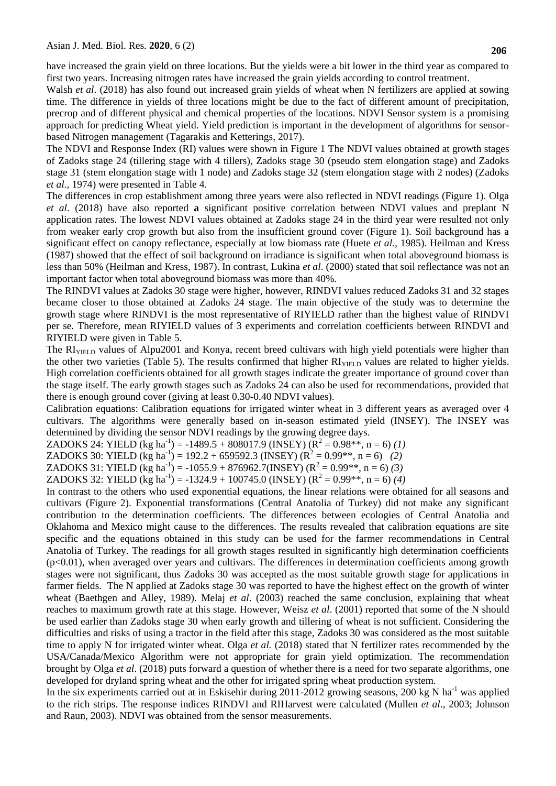have increased the grain yield on three locations. But the yields were a bit lower in the third year as compared to first two years. Increasing nitrogen rates have increased the grain yields according to control treatment.

Walsh *et al.* (2018) has also found out increased grain yields of wheat when N fertilizers are applied at sowing time. The difference in yields of three locations might be due to the fact of different amount of precipitation, precrop and of different physical and chemical properties of the locations. NDVI Sensor system is a promising approach for predicting Wheat yield. Yield prediction is important in the development of algorithms for sensorbased Nitrogen management (Tagarakis and Ketterings, 2017).

The NDVI and Response Index (RI) values were shown in Figure 1 The NDVI values obtained at growth stages of Zadoks stage 24 (tillering stage with 4 tillers), Zadoks stage 30 (pseudo stem elongation stage) and Zadoks stage 31 (stem elongation stage with 1 node) and Zadoks stage 32 (stem elongation stage with 2 nodes) (Zadoks *et al.,* 1974) were presented in Table 4.

The differences in crop establishment among three years were also reflected in NDVI readings (Figure 1). Olga *et al*. (2018) have also reported **a** significant positive correlation between NDVI values and preplant N application rates. The lowest NDVI values obtained at Zadoks stage 24 in the third year were resulted not only from weaker early crop growth but also from the insufficient ground cover (Figure 1). Soil background has a significant effect on canopy reflectance, especially at low biomass rate (Huete *et al.,* 1985). Heilman and Kress (1987) showed that the effect of soil background on irradiance is significant when total aboveground biomass is less than 50% (Heilman and Kress, 1987). In contrast, Lukina *et al*. (2000) stated that soil reflectance was not an important factor when total aboveground biomass was more than 40%.

The RINDVI values at Zadoks 30 stage were higher, however, RINDVI values reduced Zadoks 31 and 32 stages became closer to those obtained at Zadoks 24 stage. The main objective of the study was to determine the growth stage where RINDVI is the most representative of RIYIELD rather than the highest value of RINDVI per se. Therefore, mean RIYIELD values of 3 experiments and correlation coefficients between RINDVI and RIYIELD were given in Table 5.

The RI<sub>YIELD</sub> values of Alpu2001 and Konya, recent breed cultivars with high yield potentials were higher than the other two varieties (Table 5). The results confirmed that higher RI<sub>YIELD</sub> values are related to higher yields. High correlation coefficients obtained for all growth stages indicate the greater importance of ground cover than the stage itself. The early growth stages such as Zadoks 24 can also be used for recommendations, provided that there is enough ground cover (giving at least 0.30-0.40 NDVI values).

Calibration equations: Calibration equations for irrigated winter wheat in 3 different years as averaged over 4 cultivars. The algorithms were generally based on in-season estimated yield (INSEY). The INSEY was determined by dividing the sensor NDVI readings by the growing degree days.

ZADOKS 24: YIELD (kg ha<sup>-1</sup>) = -1489.5 + 808017.9 (INSEY) ( $\mathbb{R}^2 = 0.98$ \*\*, n = 6) (1)

ZADOKS 30: YIELD (kg ha<sup>-1</sup>) = 192.2 + 659592.3 (INSEY) ( $R^2 = 0.99^{**}$ , n = 6) *(2)* 

ZADOKS 31: YIELD (kg ha<sup>-1</sup>) = -1055.9 + 876962.7(INSEY) ( $R^2 = 0.99$ <sup>\*\*</sup>, n = 6) (3)

ZADOKS 32: YIELD (kg ha<sup>-1</sup>) = -1324.9 + 100745.0 (INSEY) ( $R^2 = 0.99$ <sup>\*\*</sup>, n = 6) (4)

In contrast to the others who used exponential equations, the linear relations were obtained for all seasons and cultivars (Figure 2). Exponential transformations (Central Anatolia of Turkey) did not make any significant contribution to the determination coefficients. The differences between ecologies of Central Anatolia and Oklahoma and Mexico might cause to the differences. The results revealed that calibration equations are site specific and the equations obtained in this study can be used for the farmer recommendations in Central Anatolia of Turkey. The readings for all growth stages resulted in significantly high determination coefficients  $(p<0.01)$ , when averaged over years and cultivars. The differences in determination coefficients among growth stages were not significant, thus Zadoks 30 was accepted as the most suitable growth stage for applications in farmer fields. The N applied at Zadoks stage 30 was reported to have the highest effect on the growth of winter wheat (Baethgen and Alley, 1989). Melaj *et al*. (2003) reached the same conclusion, explaining that wheat reaches to maximum growth rate at this stage. However, Weisz *et al*. (2001) reported that some of the N should be used earlier than Zadoks stage 30 when early growth and tillering of wheat is not sufficient. Considering the difficulties and risks of using a tractor in the field after this stage, Zadoks 30 was considered as the most suitable time to apply N for irrigated winter wheat. Olga *et al.* (2018) stated that N fertilizer rates recommended by the USA/Canada/Mexico Algorithm were not appropriate for grain yield optimization. The recommendation brought by Olga *et al*. (2018) puts forward a question of whether there is a need for two separate algorithms, one developed for dryland spring wheat and the other for irrigated spring wheat production system.

In the six experiments carried out at in Eskisehir during 2011-2012 growing seasons, 200 kg N ha<sup>-1</sup> was applied to the rich strips. The response indices RINDVI and RIHarvest were calculated (Mullen *et al*., 2003; Johnson and Raun, 2003). NDVI was obtained from the sensor measurements.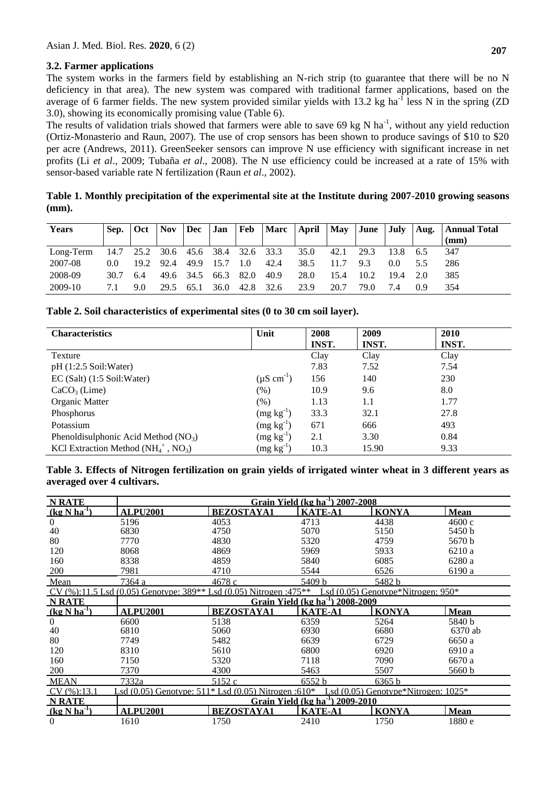## **3.2. Farmer applications**

The system works in the farmers field by establishing an N-rich strip (to guarantee that there will be no N deficiency in that area). The new system was compared with traditional farmer applications, based on the average of 6 farmer fields. The new system provided similar yields with 13.2 kg ha<sup>-1</sup> less N in the spring (ZD 3.0), showing its economically promising value (Table 6).

The results of validation trials showed that farmers were able to save  $69 \text{ kg N}$  ha<sup>-1</sup>, without any yield reduction (Ortiz-Monasterio and Raun, 2007). The use of crop sensors has been shown to produce savings of \$10 to \$20 per acre (Andrews, 2011). GreenSeeker sensors can improve N use efficiency with significant increase in net profits (Li *et al*., 2009; Tubaña *et al*., 2008). The N use efficiency could be increased at a rate of 15% with sensor-based variable rate N fertilization (Raun *et al*., 2002).

**Table 1. Monthly precipitation of the experimental site at the Institute during 2007-2010 growing seasons (mm).**

| <b>Years</b> | Sep.          | <b>Oct</b> | <b>Nov</b> | Dec            | Jan  |           |      |      |      |      |      |     | Feb   Marc   April   May   June   July   Aug.   Annual Total<br>(mm) |
|--------------|---------------|------------|------------|----------------|------|-----------|------|------|------|------|------|-----|----------------------------------------------------------------------|
| Long-Term    | 14.7          | 25.2       |            | 30.6 45.6 38.4 |      | 32.6 33.3 |      | 35.0 | 42.1 | 29.3 | 13.8 | 6.5 | 347                                                                  |
| 2007-08      | $0.0^{\circ}$ | 19.2       | 92.4       | 49.9           | 15.7 | 1.0       | 42.4 | 38.5 |      | 9.3  | 0.0  |     | 286                                                                  |
| 2008-09      | 30.7          | 6.4        | 49.6       | 34.5           | 66.3 | 82.0      | 40.9 | 28.0 | 15.4 | 10.2 | 19.4 | 2.0 | 385                                                                  |
| 2009-10      |               | 9.0        | 29.5       | 65.1           | 36.0 | 42.8      | 32.6 | 23.9 | 20.7 | 79.0 | 7.4  | 09  | 354                                                                  |

## **Table 2. Soil characteristics of experimental sites (0 to 30 cm soil layer).**

| <b>Characteristics</b>                              | Unit                      | 2008  | 2009  | 2010         |
|-----------------------------------------------------|---------------------------|-------|-------|--------------|
|                                                     |                           | INST. | INST. | <b>INST.</b> |
| Texture                                             |                           | Clay  | Clay  | Clay         |
| $pH(1:2.5$ Soil: Water)                             |                           | 7.83  | 7.52  | 7.54         |
| $EC$ (Salt) (1:5 Soil:Water)                        | $(\mu S \text{ cm}^{-1})$ | 156   | 140   | 230          |
| $CaCO3$ (Lime)                                      | (% )                      | 10.9  | 9.6   | 8.0          |
| Organic Matter                                      | (% )                      | 1.13  | 1.1   | 1.77         |
| Phosphorus                                          | $(mg kg^{-1})$            | 33.3  | 32.1  | 27.8         |
| Potassium                                           | $(mg kg^{-1})$            | 671   | 666   | 493          |
| Phenoldisulphonic Acid Method $(NO3)$               | $(mg kg^{-1})$            | 2.1   | 3.30  | 0.84         |
| KCl Extraction Method $(NH_4^+$ , NO <sub>3</sub> ) | $(mg kg^{-1})$            | 10.3  | 15.90 | 9.33         |

| Table 3. Effects of Nitrogen fertilization on grain yields of irrigated winter wheat in 3 different years as |  |  |  |  |
|--------------------------------------------------------------------------------------------------------------|--|--|--|--|
| averaged over 4 cultivars.                                                                                   |  |  |  |  |

| <b>N RATE</b>              | Grain Yield (kg ha $^{-1}$ ) 2007-2008                            |                                    |                |                                         |             |  |  |  |
|----------------------------|-------------------------------------------------------------------|------------------------------------|----------------|-----------------------------------------|-------------|--|--|--|
| $(kg$ N ha <sup>-1</sup> ) | <b>ALPU2001</b>                                                   | <b>BEZOSTAYA1</b>                  | <b>KATE-A1</b> | <b>KONYA</b>                            | <b>Mean</b> |  |  |  |
| $\Omega$                   | 5196                                                              | 4053                               | 4713           | 4438                                    | 4600c       |  |  |  |
| 40                         | 6830                                                              | 4750                               | 5070           | 5150                                    | 5450 b      |  |  |  |
| 80                         | 7770                                                              | 4830                               | 5320           | 4759                                    | 5670 b      |  |  |  |
| 120                        | 8068                                                              | 4869                               | 5969           | 5933                                    | 6210 a      |  |  |  |
| 160                        | 8338                                                              | 4859                               | 5840           | 6085                                    | 6280 a      |  |  |  |
| 200                        | 7981                                                              | 4710                               | 5544           | 6526                                    | 6190 a      |  |  |  |
| Mean                       | 7364 a                                                            | 4678 c                             | 5409 b         | 5482 b                                  |             |  |  |  |
|                            | CV (%):11.5 Lsd (0.05) Genotype: 389** Lsd (0.05) Nitrogen :475** |                                    |                | Lsd (0.05) Genotype*Nitrogen: 950*      |             |  |  |  |
| <b>N RATE</b>              | Grain Yield (kg ha <sup>-1</sup> )<br>2008-2009                   |                                    |                |                                         |             |  |  |  |
| $(kg$ N ha <sup>1</sup> )  | <b>ALPU2001</b>                                                   | <b>BEZOSTAYA1</b>                  | <b>KATE-A1</b> | <b>KONYA</b>                            | <b>Mean</b> |  |  |  |
| $\Omega$                   | 6600                                                              | 5138                               | 6359           | 5264                                    | 5840 b      |  |  |  |
| 40                         | 6810                                                              | 5060                               | 6930           | 6680                                    | 6370 ab     |  |  |  |
| 80                         | 7749                                                              | 5482                               | 6639           | 6729                                    | 6650 a      |  |  |  |
| 120                        | 8310                                                              | 5610                               | 6800           | 6920                                    | 6910 a      |  |  |  |
| 160                        | 7150                                                              | 5320                               | 7118           | 7090                                    | 6670 a      |  |  |  |
| 200                        | 7370                                                              | 4300                               | 5463           | 5507                                    | 5660 b      |  |  |  |
| <b>MEAN</b>                | 7332a                                                             | 5152 c                             | 6552 h         | 6365 b                                  |             |  |  |  |
| CV(%):13.1                 | Lsd $(0.05)$ Genotype: 511* Lsd $(0.05)$ Nitrogen: 610*           |                                    |                | Lsd $(0.05)$ Genotype*Nitrogen: $1025*$ |             |  |  |  |
| <b>N RATE</b>              |                                                                   | Grain Yield (kg ha <sup>-1</sup> ) | 2009-2010      |                                         |             |  |  |  |
| $(kg$ N ha <sup>1</sup> )  | <b>ALPU2001</b>                                                   | <b>BEZOSTAYA1</b>                  | <b>KATE-A1</b> | <b>KONYA</b>                            | <b>Mean</b> |  |  |  |
| $\theta$                   | 1610                                                              | 1750                               | 2410           | 1750                                    | 1880 e      |  |  |  |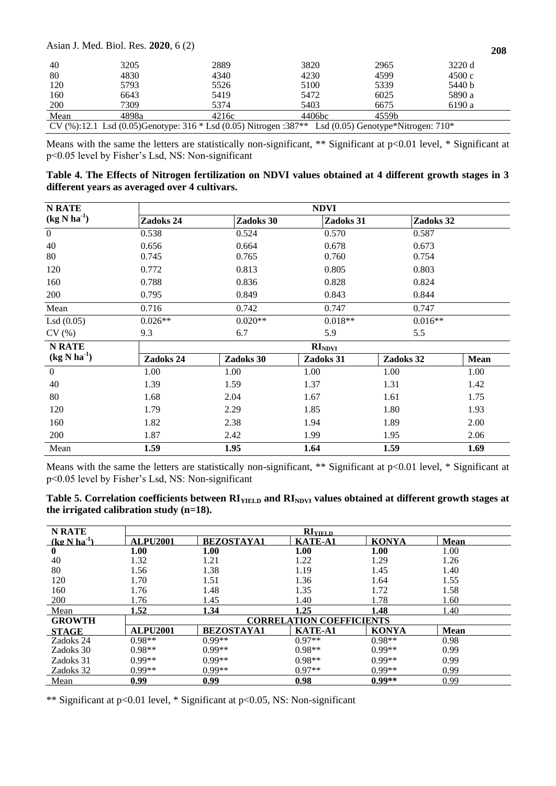#### Asian J. Med. Biol. Res. **2020**, 6 (2)

| 40   | 3205  | 2889                                                                                                      | 3820   | 2965  | 3220 d |  |
|------|-------|-----------------------------------------------------------------------------------------------------------|--------|-------|--------|--|
| 80   | 4830  | 4340                                                                                                      | 4230   | 4599  | 4500c  |  |
| 120  | 5793  | 5526                                                                                                      | 5100   | 5339  | 5440 b |  |
| 160  | 6643  | 5419                                                                                                      | 5472   | 6025  | 5890 a |  |
| 200  | 7309  | 5374                                                                                                      | 5403   | 6675  | 6190 a |  |
| Mean | 4898a | 4216c                                                                                                     | 4406bc | 4559b |        |  |
|      |       | $CV(%):121$ I sd (0.05)Genotype: $316*1$ sd (0.05) Nitrogen $387**$ I sd (0.05) Genotype Nitrogen: $710*$ |        |       |        |  |

CV  $(\%)$ :12.1 Lsd  $(0.05)$ Genotype: 316  $*$  Lsd  $(0.05)$  Nitrogen :387 $**$  Lsd  $(0.05)$  Genotype $*$ Nitrogen: 710 $*$ 

Means with the same the letters are statistically non-significant, \*\* Significant at p<0.01 level, \* Significant at p<0.05 level by Fisher's Lsd, NS: Non-significant

| Table 4. The Effects of Nitrogen fertilization on NDVI values obtained at 4 different growth stages in 3 |  |  |
|----------------------------------------------------------------------------------------------------------|--|--|
| different years as averaged over 4 cultivars.                                                            |  |  |

| <b>N RATE</b>              | <b>NDVI</b>        |           |           |           |             |  |  |  |  |
|----------------------------|--------------------|-----------|-----------|-----------|-------------|--|--|--|--|
| $(kg$ N ha <sup>-1</sup> ) | Zadoks 24          | Zadoks 30 | Zadoks 31 | Zadoks 32 |             |  |  |  |  |
| $\boldsymbol{0}$           | 0.538              | 0.524     | 0.570     | 0.587     |             |  |  |  |  |
| 40                         | 0.656              | 0.664     | 0.678     | 0.673     |             |  |  |  |  |
| 80                         | 0.745              | 0.765     | 0.760     | 0.754     |             |  |  |  |  |
| 120                        | 0.772              | 0.813     | 0.805     | 0.803     |             |  |  |  |  |
| 160                        | 0.788              | 0.836     | 0.828     | 0.824     |             |  |  |  |  |
| 200                        | 0.795              | 0.849     | 0.843     | 0.844     |             |  |  |  |  |
| Mean                       | 0.716              | 0.742     | 0.747     | 0.747     |             |  |  |  |  |
| Lsd(0.05)                  | $0.026**$          | $0.020**$ | $0.018**$ | $0.016**$ |             |  |  |  |  |
| CV(%)                      | 9.3                | 6.7       | 5.9       | 5.5       |             |  |  |  |  |
| <b>N RATE</b>              | RI <sub>NDVI</sub> |           |           |           |             |  |  |  |  |
| $(kg$ N ha <sup>-1</sup> ) | Zadoks 24          | Zadoks 30 | Zadoks 31 | Zadoks 32 | <b>Mean</b> |  |  |  |  |
| $\boldsymbol{0}$           | 1.00               | 1.00      | 1.00      | 1.00      | 1.00        |  |  |  |  |
| 40                         | 1.39               | 1.59      | 1.37      | 1.31      | 1.42        |  |  |  |  |
| 80                         | 1.68               | 2.04      | 1.67      | 1.61      | 1.75        |  |  |  |  |
| 120                        | 1.79               | 2.29      | 1.85      | 1.80      | 1.93        |  |  |  |  |
| 160                        | 1.82               | 2.38      | 1.94      | 1.89      | 2.00        |  |  |  |  |
| 200                        | 1.87               | 2.42      | 1.99      | 1.95      | 2.06        |  |  |  |  |
| Mean                       | 1.59               | 1.95      | 1.64      | 1.59      | 1.69        |  |  |  |  |

Means with the same the letters are statistically non-significant, \*\* Significant at p<0.01 level, \* Significant at p<0.05 level by Fisher's Lsd, NS: Non-significant

| Table 5. Correlation coefficients between $RI_{YIELD}$ and $RI_{NDVI}$ values obtained at different growth stages at |  |  |
|----------------------------------------------------------------------------------------------------------------------|--|--|
| the irrigated calibration study $(n=18)$ .                                                                           |  |  |

| <b>N RATE</b>       | <b>RIVIELD</b>  |                   |                                 |              |             |  |  |  |
|---------------------|-----------------|-------------------|---------------------------------|--------------|-------------|--|--|--|
| $(k\sigma N h a^1)$ | <b>ALPU2001</b> | <b>BEZOSTAYA1</b> | <b>KATE-A1</b>                  | <b>KONYA</b> | <b>Mean</b> |  |  |  |
| $\bf{0}$            | 1.00            | 1.00              | 1.00                            | 1.00         | 1.00        |  |  |  |
| 40                  | 1.32            | 1.21              | 1.22                            | 1.29         | 1.26        |  |  |  |
| 80                  | 1.56            | 1.38              | 1.19                            | 1.45         | 1.40        |  |  |  |
| 120                 | 1.70            | 1.51              | 1.36                            | 1.64         | 1.55        |  |  |  |
| 160                 | 1.76            | 1.48              | 1.35                            | 1.72         | 1.58        |  |  |  |
| 200                 | 1.76            | 1.45              | 1.40                            | 1.78         | 1.60        |  |  |  |
| Mean                | 1.52            | 1.34              | 1.25                            | 1.48         | 1.40        |  |  |  |
| <b>GROWTH</b>       |                 |                   | <b>CORRELATION COEFFICIENTS</b> |              |             |  |  |  |
| <b>STAGE</b>        | <b>ALPU2001</b> | <b>BEZOSTAYA1</b> | <b>KATE-A1</b>                  | <b>KONYA</b> | <b>Mean</b> |  |  |  |
| Zadoks 24           | $0.98**$        | $0.99**$          | $0.97**$                        | $0.98**$     | 0.98        |  |  |  |
| Zadoks 30           | $0.98**$        | $0.99**$          | $0.98**$                        | $0.99**$     | 0.99        |  |  |  |
| Zadoks 31           | $0.99**$        | $0.99**$          | $0.98**$                        | $0.99**$     | 0.99        |  |  |  |
| Zadoks 32           | $0.99**$        | $0.99**$          | $0.97**$                        | $0.99**$     | 0.99        |  |  |  |
| Mean                | 0.99            | 0.99              | 0.98                            | $0.99**$     | 0.99        |  |  |  |

\*\* Significant at p<0.01 level, \* Significant at p<0.05, NS: Non-significant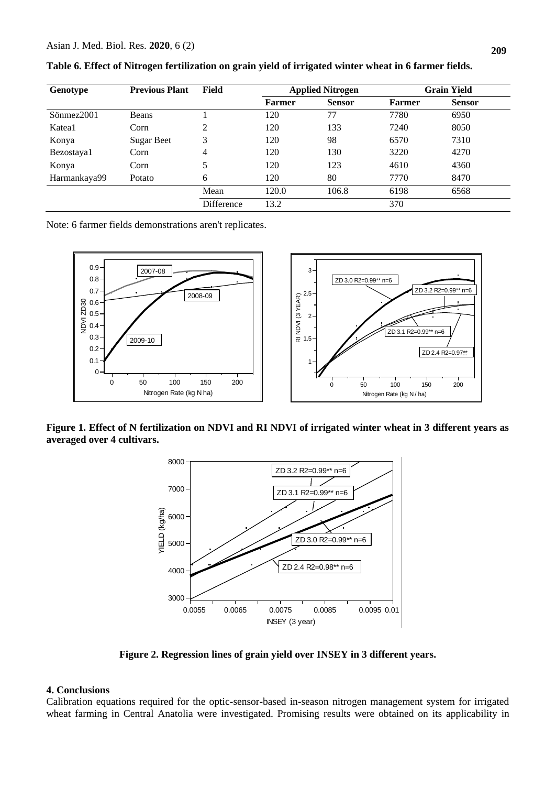| Genotype     | <b>Previous Plant</b> | Field      | <b>Applied Nitrogen</b> |               |               | <b>Grain Yield</b> |
|--------------|-----------------------|------------|-------------------------|---------------|---------------|--------------------|
|              |                       |            | <b>Farmer</b>           | <b>Sensor</b> | <b>Farmer</b> | <b>Sensor</b>      |
| Sönmez2001   | <b>Beans</b>          |            | 120                     | 77            | 7780          | 6950               |
| Katea1       | Corn                  | 2          | 120                     | 133           | 7240          | 8050               |
| Konya        | <b>Sugar Beet</b>     | 3          | 120                     | 98            | 6570          | 7310               |
| Bezostaya1   | Corn                  | 4          | 120                     | 130           | 3220          | 4270               |
| Konya        | Corn                  | 5          | 120                     | 123           | 4610          | 4360               |
| Harmankaya99 | Potato                | 6          | 120                     | 80            | 7770          | 8470               |
|              |                       | Mean       | 120.0                   | 106.8         | 6198          | 6568               |
|              |                       | Difference | 13.2                    |               | 370           |                    |

**Table 6. Effect of Nitrogen fertilization on grain yield of irrigated winter wheat in 6 farmer fields.**

Note: 6 farmer fields demonstrations aren't replicates.



**Figure 1. Effect of N fertilization on NDVI and RI NDVI of irrigated winter wheat in 3 different years as averaged over 4 cultivars.**



**Figure 2. Regression lines of grain yield over INSEY in 3 different years.**

#### **4. Conclusions**

Calibration equations required for the optic-sensor-based in-season nitrogen management system for irrigated wheat farming in Central Anatolia were investigated. Promising results were obtained on its applicability in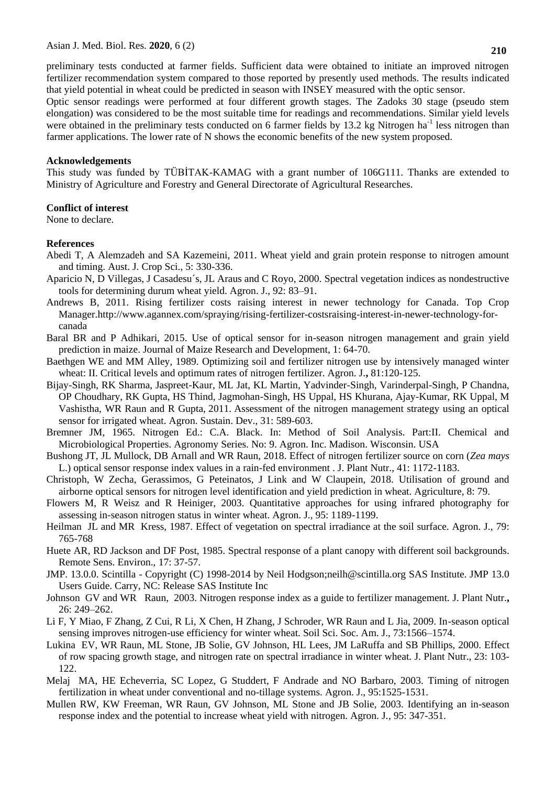preliminary tests conducted at farmer fields. Sufficient data were obtained to initiate an improved nitrogen fertilizer recommendation system compared to those reported by presently used methods. The results indicated that yield potential in wheat could be predicted in season with INSEY measured with the optic sensor.

Optic sensor readings were performed at four different growth stages. The Zadoks 30 stage (pseudo stem elongation) was considered to be the most suitable time for readings and recommendations. Similar yield levels were obtained in the preliminary tests conducted on 6 farmer fields by 13.2 kg Nitrogen ha<sup>-1</sup> less nitrogen than farmer applications. The lower rate of N shows the economic benefits of the new system proposed.

#### **Acknowledgements**

This study was funded by TÜBİTAK-KAMAG with a grant number of 106G111. Thanks are extended to Ministry of Agriculture and Forestry and General Directorate of Agricultural Researches.

#### **Conflict of interest**

None to declare.

#### **References**

- Abedi T, A Alemzadeh and SA Kazemeini, 2011. Wheat yield and grain protein response to nitrogen amount and timing. Aust. J. Crop Sci., 5: 330-336.
- Aparicio N, D Villegas, J Casadesu´s, JL Araus and C Royo, 2000. Spectral vegetation indices as nondestructive tools for determining durum wheat yield. Agron. J., 92: 83–91.
- Andrews B, 2011. Rising fertilizer costs raising interest in newer technology for Canada. Top Crop Manager.http://www.agannex.com/spraying/rising-fertilizer-costsraising-interest-in-newer-technology-forcanada
- Baral BR and P Adhikari, 2015. Use of optical sensor for in-season nitrogen management and grain yield prediction in maize. Journal of Maize Research and Development, 1: 64-70.
- Baethgen WE and MM Alley, 1989. Optimizing soil and fertilizer nitrogen use by intensively managed winter wheat: II. Critical levels and optimum rates of nitrogen fertilizer. Agron. J.**,** 81:120-125.
- Bijay-Singh, RK Sharma, Jaspreet-Kaur, ML Jat, KL Martin, Yadvinder-Singh, Varinderpal-Singh, P Chandna, OP Choudhary, RK Gupta, HS Thind, Jagmohan-Singh, HS Uppal, HS Khurana, Ajay-Kumar, RK Uppal, M Vashistha, WR Raun and R Gupta, 2011. Assessment of the nitrogen management strategy using an optical sensor for irrigated wheat. Agron. Sustain. Dev., 31: 589-603.
- Bremner JM, 1965. Nitrogen Ed.: C.A. Black. In: Method of Soil Analysis. Part:II. Chemical and Microbiological Properties. Agronomy Series. No: 9. Agron. Inc. Madison. Wisconsin. USA
- Bushong JT, JL Mullock, DB Arnall and WR Raun, 2018. Effect of nitrogen fertilizer source on corn (*Zea mays* L.) optical sensor response index values in a rain-fed environment . J. Plant Nutr., 41: 1172-1183.
- Christoph, W Zecha, Gerassimos, G Peteinatos, J Link and W Claupein, 2018. Utilisation of ground and airborne optical sensors for nitrogen level identification and yield prediction in wheat. Agriculture, 8: 79.
- Flowers M, R Weisz and R Heiniger, 2003. Quantitative approaches for using infrared photography for assessing in-season nitrogen status in winter wheat. Agron. J., 95: 1189-1199.
- Heilman JL and MR Kress, 1987. Effect of vegetation on spectral irradiance at the soil surface. Agron. J., 79: 765-768
- Huete AR, RD Jackson and DF Post, 1985. Spectral response of a plant canopy with different soil backgrounds. Remote Sens. Environ., 17: 37-57.
- JMP. 13.0.0. Scintilla Copyright (C) 1998-2014 by Neil Hodgson;neilh@scintilla.org SAS Institute. JMP 13.0 Users Guide. Carry, NC: Release SAS Institute Inc
- Johnson GV and WR Raun, 2003. Nitrogen response index as a guide to fertilizer management. J. Plant Nutr.**,**  26: 249–262.
- Li F, Y Miao, F Zhang, Z Cui, R Li, X Chen, H Zhang, J Schroder, WR Raun and L Jia, 2009. In-season optical sensing improves nitrogen-use efficiency for winter wheat. Soil Sci. Soc. Am. J., 73:1566–1574.
- Lukina EV, WR Raun, ML Stone, JB Solie, GV Johnson, HL Lees, JM LaRuffa and SB Phillips, 2000. Effect of row spacing growth stage, and nitrogen rate on spectral irradiance in winter wheat. J. Plant Nutr., 23: 103- 122.
- Melaj MA, HE Echeverria, SC Lopez, G Studdert, F Andrade and NO Barbaro, 2003. Timing of nitrogen fertilization in wheat under conventional and no-tillage systems. Agron. J., 95:1525-1531.
- Mullen RW, KW Freeman, WR Raun, GV Johnson, ML Stone and JB Solie, 2003. Identifying an in-season response index and the potential to increase wheat yield with nitrogen. Agron. J*.*, 95: 347-351.